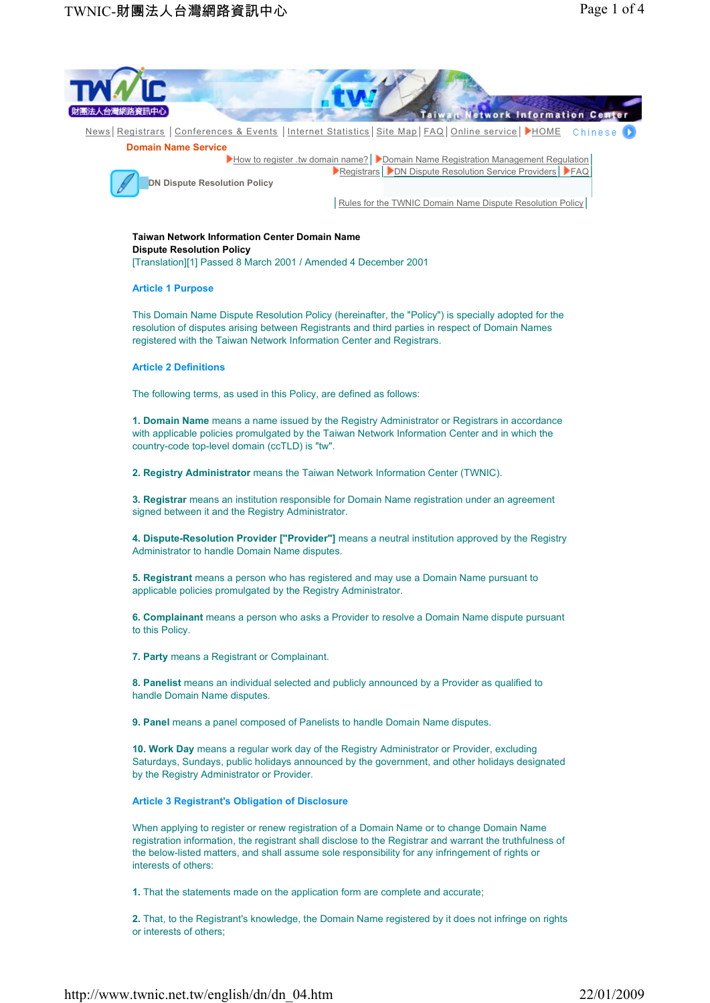

**1.** That the statements made on the application form are complete and accurate;

**2.** That, to the Registrant's knowledge, the Domain Name registered by it does not infringe on rights or interests of others;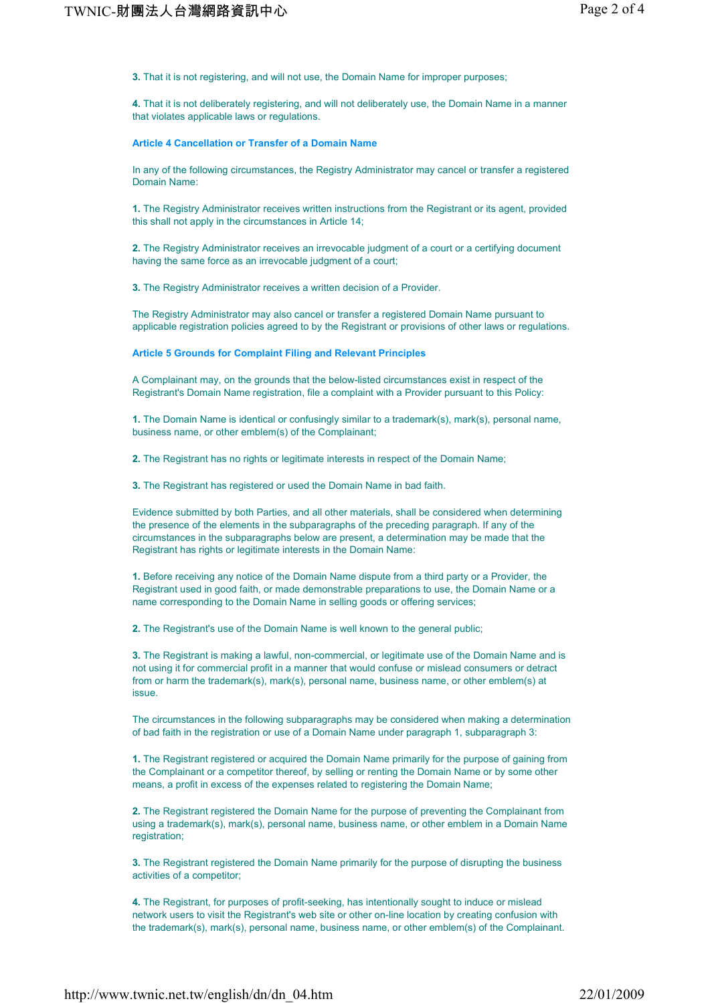**3.** That it is not registering, and will not use, the Domain Name for improper purposes;

**4.** That it is not deliberately registering, and will not deliberately use, the Domain Name in a manner that violates applicable laws or regulations.

# **Article 4 Cancellation or Transfer of a Domain Name**

In any of the following circumstances, the Registry Administrator may cancel or transfer a registered Domain Name:

**1.** The Registry Administrator receives written instructions from the Registrant or its agent, provided this shall not apply in the circumstances in Article 14;

**2.** The Registry Administrator receives an irrevocable judgment of a court or a certifying document having the same force as an irrevocable judgment of a court;

**3.** The Registry Administrator receives a written decision of a Provider.

The Registry Administrator may also cancel or transfer a registered Domain Name pursuant to applicable registration policies agreed to by the Registrant or provisions of other laws or regulations.

**Article 5 Grounds for Complaint Filing and Relevant Principles**

A Complainant may, on the grounds that the below-listed circumstances exist in respect of the Registrant's Domain Name registration, file a complaint with a Provider pursuant to this Policy:

**1.** The Domain Name is identical or confusingly similar to a trademark(s), mark(s), personal name, business name, or other emblem(s) of the Complainant;

**2.** The Registrant has no rights or legitimate interests in respect of the Domain Name;

**3.** The Registrant has registered or used the Domain Name in bad faith.

Evidence submitted by both Parties, and all other materials, shall be considered when determining the presence of the elements in the subparagraphs of the preceding paragraph. If any of the circumstances in the subparagraphs below are present, a determination may be made that the Registrant has rights or legitimate interests in the Domain Name:

**1.** Before receiving any notice of the Domain Name dispute from a third party or a Provider, the Registrant used in good faith, or made demonstrable preparations to use, the Domain Name or a name corresponding to the Domain Name in selling goods or offering services;

**2.** The Registrant's use of the Domain Name is well known to the general public;

**3.** The Registrant is making a lawful, non-commercial, or legitimate use of the Domain Name and is not using it for commercial profit in a manner that would confuse or mislead consumers or detract from or harm the trademark(s), mark(s), personal name, business name, or other emblem(s) at issue.

The circumstances in the following subparagraphs may be considered when making a determination of bad faith in the registration or use of a Domain Name under paragraph 1, subparagraph 3:

**1.** The Registrant registered or acquired the Domain Name primarily for the purpose of gaining from the Complainant or a competitor thereof, by selling or renting the Domain Name or by some other means, a profit in excess of the expenses related to registering the Domain Name;

**2.** The Registrant registered the Domain Name for the purpose of preventing the Complainant from using a trademark(s), mark(s), personal name, business name, or other emblem in a Domain Name registration:

**3.** The Registrant registered the Domain Name primarily for the purpose of disrupting the business activities of a competitor;

**4.** The Registrant, for purposes of profit-seeking, has intentionally sought to induce or mislead network users to visit the Registrant's web site or other on-line location by creating confusion with the trademark(s), mark(s), personal name, business name, or other emblem(s) of the Complainant.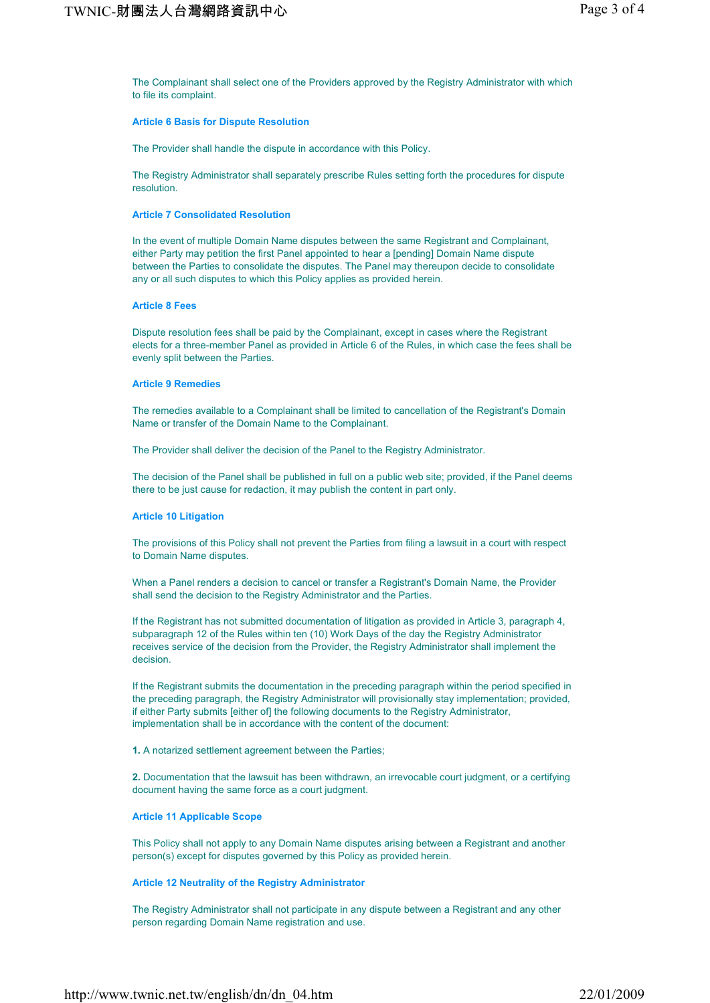The Complainant shall select one of the Providers approved by the Registry Administrator with which to file its complaint.

#### **Article 6 Basis for Dispute Resolution**

The Provider shall handle the dispute in accordance with this Policy.

The Registry Administrator shall separately prescribe Rules setting forth the procedures for dispute resolution.

#### **Article 7 Consolidated Resolution**

In the event of multiple Domain Name disputes between the same Registrant and Complainant, either Party may petition the first Panel appointed to hear a [pending] Domain Name dispute between the Parties to consolidate the disputes. The Panel may thereupon decide to consolidate any or all such disputes to which this Policy applies as provided herein.

# **Article 8 Fees**

Dispute resolution fees shall be paid by the Complainant, except in cases where the Registrant elects for a three-member Panel as provided in Article 6 of the Rules, in which case the fees shall be evenly split between the Parties.

## **Article 9 Remedies**

The remedies available to a Complainant shall be limited to cancellation of the Registrant's Domain Name or transfer of the Domain Name to the Complainant.

The Provider shall deliver the decision of the Panel to the Registry Administrator.

The decision of the Panel shall be published in full on a public web site; provided, if the Panel deems there to be just cause for redaction, it may publish the content in part only.

## **Article 10 Litigation**

The provisions of this Policy shall not prevent the Parties from filing a lawsuit in a court with respect to Domain Name disputes.

When a Panel renders a decision to cancel or transfer a Registrant's Domain Name, the Provider shall send the decision to the Registry Administrator and the Parties.

If the Registrant has not submitted documentation of litigation as provided in Article 3, paragraph 4, subparagraph 12 of the Rules within ten (10) Work Days of the day the Registry Administrator receives service of the decision from the Provider, the Registry Administrator shall implement the decision.

If the Registrant submits the documentation in the preceding paragraph within the period specified in the preceding paragraph, the Registry Administrator will provisionally stay implementation; provided, if either Party submits [either of] the following documents to the Registry Administrator, implementation shall be in accordance with the content of the document:

**1.** A notarized settlement agreement between the Parties;

**2.** Documentation that the lawsuit has been withdrawn, an irrevocable court judgment, or a certifying document having the same force as a court judgment.

## **Article 11 Applicable Scope**

This Policy shall not apply to any Domain Name disputes arising between a Registrant and another person(s) except for disputes governed by this Policy as provided herein.

## **Article 12 Neutrality of the Registry Administrator**

The Registry Administrator shall not participate in any dispute between a Registrant and any other person regarding Domain Name registration and use.